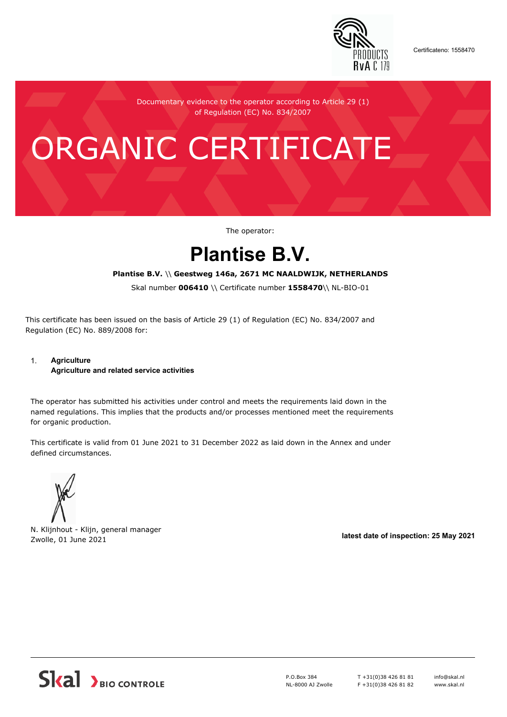

Certificateno: 1558470

Documentary evidence to the operator according to Article 29 (1) of Regulation (EC) No. 834/2007

# ORGANIC CERTIFICATE

The operator:

## **Plantise B.V.**

#### **Plantise B.V.** \\ **Geestweg 146a, 2671 MC NAALDWIJK, NETHERLANDS**

Skal number **006410** \\ Certificate number **1558470**\\ NL-BIO-01

This certificate has been issued on the basis of Article 29 (1) of Regulation (EC) No. 834/2007 and Regulation (EC) No. 889/2008 for:

#### 1. **Agriculture Agriculture and related service activities**

The operator has submitted his activities under control and meets the requirements laid down in the named regulations. This implies that the products and/or processes mentioned meet the requirements for organic production.

This certificate is valid from 01 June 2021 to 31 December 2022 as laid down in the Annex and under defined circumstances.



N. Klijnhout - Klijn, general manager Zwolle, 01 June 2021 **latest date of inspection: 25 May 2021**



P.O.Box 384 NL-8000 AJ Zwolle T +31(0)38 426 81 81 F +31(0)38 426 81 82